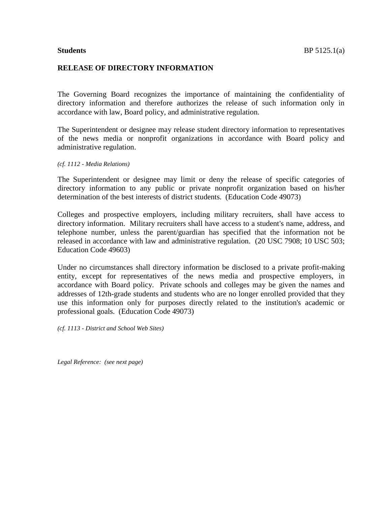## **RELEASE OF DIRECTORY INFORMATION**

The Governing Board recognizes the importance of maintaining the confidentiality of directory information and therefore authorizes the release of such information only in accordance with law, Board policy, and administrative regulation.

The Superintendent or designee may release student directory information to representatives of the news media or nonprofit organizations in accordance with Board policy and administrative regulation.

*(cf. 1112 - Media Relations)*

The Superintendent or designee may limit or deny the release of specific categories of directory information to any public or private nonprofit organization based on his/her determination of the best interests of district students. (Education Code 49073)

Colleges and prospective employers, including military recruiters, shall have access to directory information. Military recruiters shall have access to a student's name, address, and telephone number, unless the parent/guardian has specified that the information not be released in accordance with law and administrative regulation. (20 USC 7908; 10 USC 503; Education Code 49603)

Under no circumstances shall directory information be disclosed to a private profit-making entity, except for representatives of the news media and prospective employers, in accordance with Board policy. Private schools and colleges may be given the names and addresses of 12th-grade students and students who are no longer enrolled provided that they use this information only for purposes directly related to the institution's academic or professional goals. (Education Code 49073)

*(cf. 1113 - District and School Web Sites)*

*Legal Reference: (see next page)*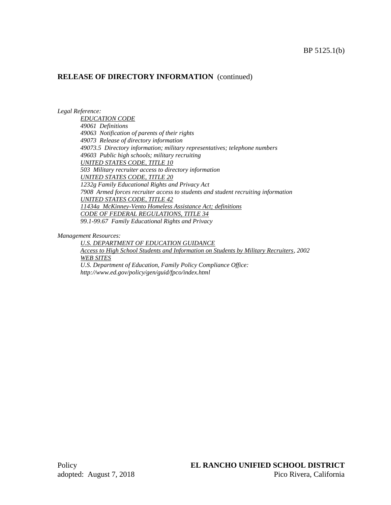## **RELEASE OF DIRECTORY INFORMATION** (continued)

#### *Legal Reference:*

*EDUCATION CODE 49061 Definitions 49063 Notification of parents of their rights 49073 Release of directory information 49073.5 Directory information; military representatives; telephone numbers 49603 Public high schools; military recruiting UNITED STATES CODE, TITLE 10 503 Military recruiter access to directory information UNITED STATES CODE, TITLE 20 1232g Family Educational Rights and Privacy Act 7908 Armed forces recruiter access to students and student recruiting information UNITED STATES CODE, TITLE 42 11434a McKinney-Vento Homeless Assistance Act; definitions CODE OF FEDERAL REGULATIONS, TITLE 34 99.1-99.67 Family Educational Rights and Privacy*

*Management Resources:*

*U.S. DEPARTMENT OF EDUCATION GUIDANCE Access to High School Students and Information on Students by Military Recruiters, 2002 WEB SITES U.S. Department of Education, Family Policy Compliance Office:* 

*http://www.ed.gov/policy/gen/guid/fpco/index.html*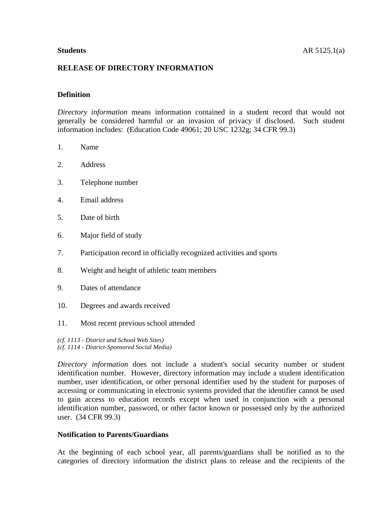## **RELEASE OF DIRECTORY INFORMATION**

## **Definition**

*Directory information* means information contained in a student record that would not generally be considered harmful or an invasion of privacy if disclosed. Such student information includes: (Education Code 49061; 20 USC 1232g; 34 CFR 99.3)

- 1. Name
- 2. Address
- 3. Telephone number
- 4. Email address
- 5. Date of birth
- 6. Major field of study
- 7. Participation record in officially recognized activities and sports
- 8. Weight and height of athletic team members
- 9. Dates of attendance
- 10. Degrees and awards received
- 11. Most recent previous school attended

*(cf. 1113 - District and School Web Sites) (cf. 1114 - District-Sponsored Social Media)*

*Directory information* does not include a student's social security number or student identification number. However, directory information may include a student identification number, user identification, or other personal identifier used by the student for purposes of accessing or communicating in electronic systems provided that the identifier cannot be used to gain access to education records except when used in conjunction with a personal identification number, password, or other factor known or possessed only by the authorized user. (34 CFR 99.3)

### **Notification to Parents/Guardians**

At the beginning of each school year, all parents/guardians shall be notified as to the categories of directory information the district plans to release and the recipients of the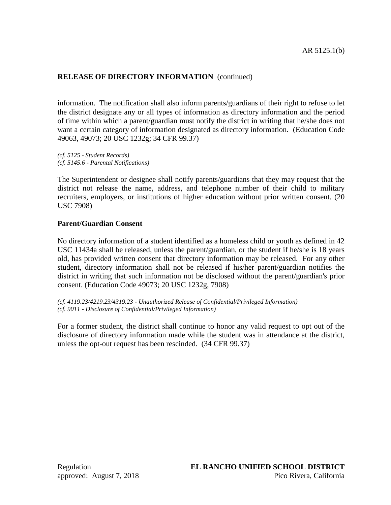# **RELEASE OF DIRECTORY INFORMATION** (continued)

information. The notification shall also inform parents/guardians of their right to refuse to let the district designate any or all types of information as directory information and the period of time within which a parent/guardian must notify the district in writing that he/she does not want a certain category of information designated as directory information. (Education Code 49063, 49073; 20 USC 1232g; 34 CFR 99.37)

*(cf. 5125 - Student Records) (cf. 5145.6 - Parental Notifications)*

The Superintendent or designee shall notify parents/guardians that they may request that the district not release the name, address, and telephone number of their child to military recruiters, employers, or institutions of higher education without prior written consent. (20 USC 7908)

## **Parent/Guardian Consent**

No directory information of a student identified as a homeless child or youth as defined in 42 USC 11434a shall be released, unless the parent/guardian, or the student if he/she is 18 years old, has provided written consent that directory information may be released. For any other student, directory information shall not be released if his/her parent/guardian notifies the district in writing that such information not be disclosed without the parent/guardian's prior consent. (Education Code 49073; 20 USC 1232g, 7908)

*(cf. 4119.23/4219.23/4319.23 - Unauthorized Release of Confidential/Privileged Information) (cf. 9011 - Disclosure of Confidential/Privileged Information)*

For a former student, the district shall continue to honor any valid request to opt out of the disclosure of directory information made while the student was in attendance at the district, unless the opt-out request has been rescinded. (34 CFR 99.37)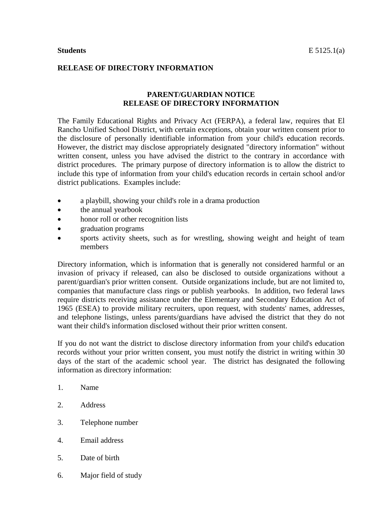## **RELEASE OF DIRECTORY INFORMATION**

## **PARENT/GUARDIAN NOTICE RELEASE OF DIRECTORY INFORMATION**

The Family Educational Rights and Privacy Act (FERPA), a federal law, requires that El Rancho Unified School District, with certain exceptions, obtain your written consent prior to the disclosure of personally identifiable information from your child's education records. However, the district may disclose appropriately designated "directory information" without written consent, unless you have advised the district to the contrary in accordance with district procedures. The primary purpose of directory information is to allow the district to include this type of information from your child's education records in certain school and/or district publications. Examples include:

- a playbill, showing your child's role in a drama production
- the annual yearbook
- honor roll or other recognition lists
- graduation programs
- sports activity sheets, such as for wrestling, showing weight and height of team members

Directory information, which is information that is generally not considered harmful or an invasion of privacy if released, can also be disclosed to outside organizations without a parent/guardian's prior written consent. Outside organizations include, but are not limited to, companies that manufacture class rings or publish yearbooks. In addition, two federal laws require districts receiving assistance under the Elementary and Secondary Education Act of 1965 (ESEA) to provide military recruiters, upon request, with students' names, addresses, and telephone listings, unless parents/guardians have advised the district that they do not want their child's information disclosed without their prior written consent.

If you do not want the district to disclose directory information from your child's education records without your prior written consent, you must notify the district in writing within 30 days of the start of the academic school year. The district has designated the following information as directory information:

- 1. Name
- 2. Address
- 3. Telephone number
- 4. Email address
- 5. Date of birth
- 6. Major field of study